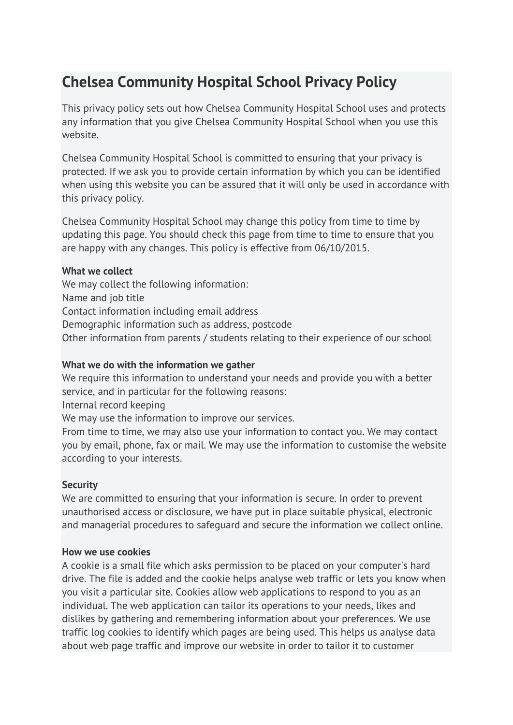# **Chelsea Community Hospital School Privacy Policy**

This privacy policy sets out how Chelsea Community Hospital School uses and protects any information that you give Chelsea Community Hospital School when you use this website.

Chelsea Community Hospital School is committed to ensuring that your privacy is protected. If we ask you to provide certain information by which you can be identified when using this website you can be assured that it will only be used in accordance with this privacy policy.

Chelsea Community Hospital School may change this policy from time to time by updating this page. You should check this page from time to time to ensure that you are happy with any changes. This policy is effective from 06/10/2015.

## **What we collect**

We may collect the following information: Name and job title Contact information including email address Demographic information such as address, postcode Other information from parents / students relating to their experience of our school

## **What we do with the information we gather**

We require this information to understand your needs and provide you with a better service, and in particular for the following reasons:

Internal record keeping

We may use the information to improve our services.

From time to time, we may also use your information to contact you. We may contact you by email, phone, fax or mail. We may use the information to customise the website according to your interests.

# **Security**

We are committed to ensuring that your information is secure. In order to prevent unauthorised access or disclosure, we have put in place suitable physical, electronic and managerial procedures to safeguard and secure the information we collect online.

#### **How we use cookies**

A cookie is a small file which asks permission to be placed on your computer's hard drive. The file is added and the cookie helps analyse web traffic or lets you know when you visit a particular site. Cookies allow web applications to respond to you as an individual. The web application can tailor its operations to your needs, likes and dislikes by gathering and remembering information about your preferences. We use traffic log cookies to identify which pages are being used. This helps us analyse data about web page traffic and improve our website in order to tailor it to customer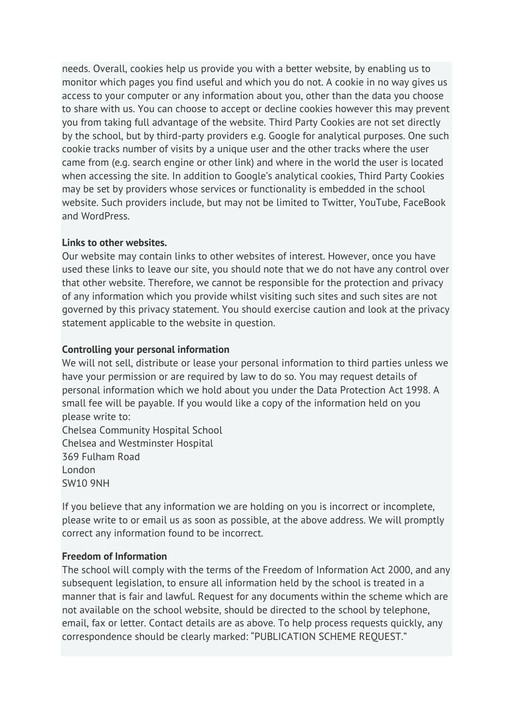needs. Overall, cookies help us provide you with a better website, by enabling us to monitor which pages you find useful and which you do not. A cookie in no way gives us access to your computer or any information about you, other than the data you choose to share with us. You can choose to accept or decline cookies however this may prevent you from taking full advantage of the website. Third Party Cookies are not set directly by the school, but by third-party providers e.g. Google for analytical purposes. One such cookie tracks number of visits by a unique user and the other tracks where the user came from (e.g. search engine or other link) and where in the world the user is located when accessing the site. In addition to Google's analytical cookies, Third Party Cookies may be set by providers whose services or functionality is embedded in the school website. Such providers include, but may not be limited to Twitter, YouTube, FaceBook and WordPress.

## **Links to other websites.**

Our website may contain links to other websites of interest. However, once you have used these links to leave our site, you should note that we do not have any control over that other website. Therefore, we cannot be responsible for the protection and privacy of any information which you provide whilst visiting such sites and such sites are not governed by this privacy statement. You should exercise caution and look at the privacy statement applicable to the website in question.

## **Controlling your personal information**

We will not sell, distribute or lease your personal information to third parties unless we have your permission or are required by law to do so. You may request details of personal information which we hold about you under the Data Protection Act 1998. A small fee will be payable. If you would like a copy of the information held on you please write to:

Chelsea Community Hospital School Chelsea and Westminster Hospital 369 Fulham Road London SW10 9NH

If you believe that any information we are holding on you is incorrect or incomplete, please write to or email us as soon as possible, at the above address. We will promptly correct any information found to be incorrect.

#### **Freedom of Information**

The school will comply with the terms of the Freedom of Information Act 2000, and any subsequent legislation, to ensure all information held by the school is treated in a manner that is fair and lawful. Request for any documents within the scheme which are not available on the school website, should be directed to the school by telephone, email, fax or letter. Contact details are as above. To help process requests quickly, any correspondence should be clearly marked: "PUBLICATION SCHEME REQUEST."